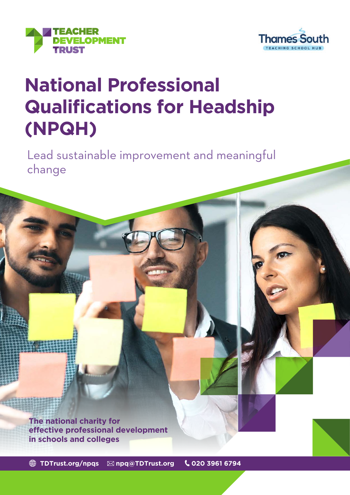



# **National Professional Qualifications for Headship (NPQH)**

Lead sustainable improvement and meaningful change

**The national charity for effective professional development in schools and colleges**

**[TDTrust.org/npqs](http://TDTrust.org/npqs) [npq@TDTrust.org](mailto:npq%40TDTrust.org?subject=) 020 3961 6794**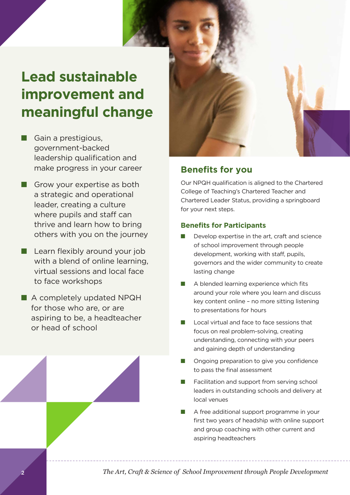## **Lead sustainable improvement and meaningful change**

- $\blacksquare$  Gain a prestigious, government-backed leadership qualification and make progress in your career
- $\blacksquare$  Grow your expertise as both a strategic and operational leader, creating a culture where pupils and staff can thrive and learn how to bring others with you on the journey
- $\blacksquare$  Learn flexibly around your job with a blend of online learning, virtual sessions and local face to face workshops
- A completely updated NPQH for those who are, or are aspiring to be, a headteacher or head of school



## **Benefits for you**

Our NPQH qualification is aligned to the Chartered College of Teaching's Chartered Teacher and Chartered Leader Status, providing a springboard for your next steps.

#### **Benefits for Participants**

- Develop expertise in the art, craft and science of school improvement through people development, working with staff, pupils, governors and the wider community to create lasting change
- A blended learning experience which fits around your role where you learn and discuss key content online – no more sitting listening to presentations for hours
- Local virtual and face to face sessions that focus on real problem-solving, creating understanding, connecting with your peers and gaining depth of understanding
- Ongoing preparation to give you confidence to pass the final assessment
- Facilitation and support from serving school leaders in outstanding schools and delivery at local venues
- A free additional support programme in your first two years of headship with online support and group coaching with other current and aspiring headteachers

*The Art, Craft & Science of School Improvement through People Development*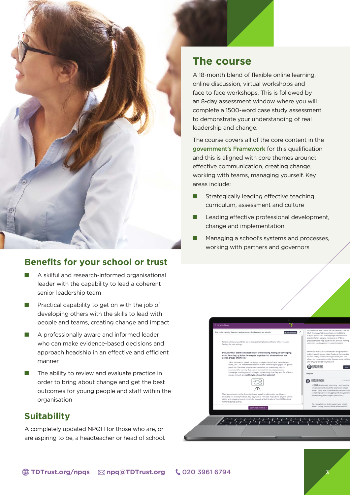

## **Benefits for your school or trust**

- $\blacksquare$  A skilful and research-informed organisational leader with the capability to lead a coherent senior leadership team
- $\blacksquare$  Practical capability to get on with the job of developing others with the skills to lead with people and teams, creating change and impact
- $\blacksquare$  A professionally aware and informed leader who can make evidence-based decisions and approach headship in an effective and efficient manner
- $\blacksquare$  The ability to review and evaluate practice in order to bring about change and get the best outcomes for young people and staff within the organisation

## **Suitability**

A completely updated NPQH for those who are, or are aspiring to be, a headteacher or head of school.

## **The course**

A 18-month blend of flexible online learning, online discussion, virtual workshops and face to face workshops. This is followed by an 8-day assessment window where you will complete a 1500-word case study assessment to demonstrate your understanding of real leadership and change.

The course covers all of the core content in the [government's Framework](https://assets.publishing.service.gov.uk/government/uploads/system/uploads/attachment_data/file/925507/NPQ_Headship.pdf) for this qualification and this is aligned with core themes around: effective communication, creating change, working with teams, managing yourself. Key areas include:

- $\blacksquare$  Strategically leading effective teaching, curriculum, assessment and culture
- $\blacksquare$  Leading effective professional development, change and implementation
- Managing a school's systems and processes, working with partners and governors